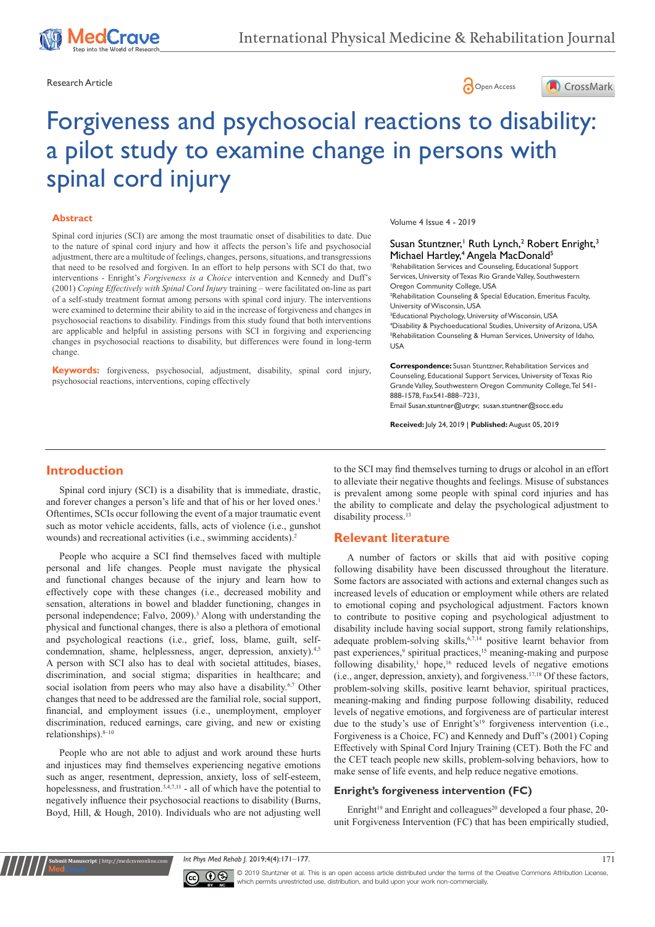





# Forgiveness and psychosocial reactions to disability: a pilot study to examine change in persons with spinal cord injury

#### **Abstract**

Spinal cord injuries (SCI) are among the most traumatic onset of disabilities to date. Due to the nature of spinal cord injury and how it affects the person's life and psychosocial adjustment, there are a multitude of feelings, changes, persons, situations, and transgressions that need to be resolved and forgiven. In an effort to help persons with SCI do that, two interventions - Enright's *Forgiveness is a Choice* intervention and Kennedy and Duff's (2001) *Coping Effectively with Spinal Cord Injury* training – were facilitated on-line as part of a self-study treatment format among persons with spinal cord injury. The interventions were examined to determine their ability to aid in the increase of forgiveness and changes in psychosocial reactions to disability. Findings from this study found that both interventions are applicable and helpful in assisting persons with SCI in forgiving and experiencing changes in psychosocial reactions to disability, but differences were found in long-term change.

**Keywords:** forgiveness, psychosocial, adjustment, disability, spinal cord injury, psychosocial reactions, interventions, coping effectively

#### Volume 4 Issue 4 - 2019

## Susan Stuntzner,<sup>1</sup> Ruth Lynch,<sup>2</sup> Robert Enright,<sup>3</sup> Michael Hartley,<sup>4</sup> Angela MacDonald<sup>5</sup>

1 Rehabilitation Services and Counseling, Educational Support Services, University of Texas Rio Grande Valley, Southwestern Oregon Community College, USA 2 Rehabilitation Counseling & Special Education, Emeritus Faculty, University of Wisconsin, USA <sup>3</sup> Educational Psychology, University of Wisconsin, USA

4 Disability & Psychoeducational Studies, University of Arizona, USA 5 Rehabilitation Counseling & Human Services, University of Idaho, USA

**Correspondence:** Susan Stuntzner, Rehabilitation Services and Counseling, Educational Support Services, University of Texas Rio Grande Valley, Southwestern Oregon Community College, Tel 541- 888-1578, Fax541-888–7231,

Email Susan.stuntner@utrgy; susan.stuntner@socc.edu

**Received:** July 24, 2019 | **Published:** August 05, 2019

## **Introduction**

Spinal cord injury (SCI) is a disability that is immediate, drastic, and forever changes a person's life and that of his or her loved ones.<sup>1</sup> Oftentimes, SCIs occur following the event of a major traumatic event such as motor vehicle accidents, falls, acts of violence (i.e., gunshot wounds) and recreational activities (i.e., swimming accidents).2

People who acquire a SCI find themselves faced with multiple personal and life changes. People must navigate the physical and functional changes because of the injury and learn how to effectively cope with these changes (i.e., decreased mobility and sensation, alterations in bowel and bladder functioning, changes in personal independence; Falvo, 2009).<sup>3</sup> Along with understanding the physical and functional changes, there is also a plethora of emotional and psychological reactions (i.e., grief, loss, blame, guilt, selfcondemnation, shame, helplessness, anger, depression, anxiety).<sup>4,5</sup> A person with SCI also has to deal with societal attitudes, biases, discrimination, and social stigma; disparities in healthcare; and social isolation from peers who may also have a disability.<sup>6,7</sup> Other changes that need to be addressed are the familial role, social support, financial, and employment issues (i.e., unemployment, employer discrimination, reduced earnings, care giving, and new or existing relationships).8–10

People who are not able to adjust and work around these hurts and injustices may find themselves experiencing negative emotions such as anger, resentment, depression, anxiety, loss of self-esteem, hopelessness, and frustration.<sup>3,4,7,11</sup> - all of which have the potential to negatively influence their psychosocial reactions to disability (Burns, Boyd, Hill, & Hough, 2010). Individuals who are not adjusting well

**it Manuscript** | http://medcraveonline.

to the SCI may find themselves turning to drugs or alcohol in an effort to alleviate their negative thoughts and feelings. Misuse of substances is prevalent among some people with spinal cord injuries and has the ability to complicate and delay the psychological adjustment to disability process.<sup>13</sup>

## **Relevant literature**

A number of factors or skills that aid with positive coping following disability have been discussed throughout the literature. Some factors are associated with actions and external changes such as increased levels of education or employment while others are related to emotional coping and psychological adjustment. Factors known to contribute to positive coping and psychological adjustment to disability include having social support, strong family relationships, adequate problem-solving skills,<sup>6,7,14</sup> positive learnt behavior from past experiences,<sup>9</sup> spiritual practices,<sup>15</sup> meaning-making and purpose following disability, $1$  hope, $16$  reduced levels of negative emotions (i.e., anger, depression, anxiety), and forgiveness.17,18 Of these factors, problem-solving skills, positive learnt behavior, spiritual practices, meaning-making and finding purpose following disability, reduced levels of negative emotions, and forgiveness are of particular interest due to the study's use of Enright's<sup>19</sup> forgiveness intervention (i.e., Forgiveness is a Choice, FC) and Kennedy and Duff's (2001) Coping Effectively with Spinal Cord Injury Training (CET). Both the FC and the CET teach people new skills, problem-solving behaviors, how to make sense of life events, and help reduce negative emotions.

#### **Enright's forgiveness intervention (FC)**

Enright<sup>19</sup> and Enright and colleagues<sup>20</sup> developed a four phase, 20unit Forgiveness Intervention (FC) that has been empirically studied,

*Int Phys Med Rehab J.* 2019;4(4):171–177. 171.



© 2019 Stuntzner et al. This is an open access article distributed under the terms of the [Creative Commons Attribution License](https://creativecommons.org/licenses/by-nc/4.0/), which permits unrestricted use, distribution, and build upon your work non-commercially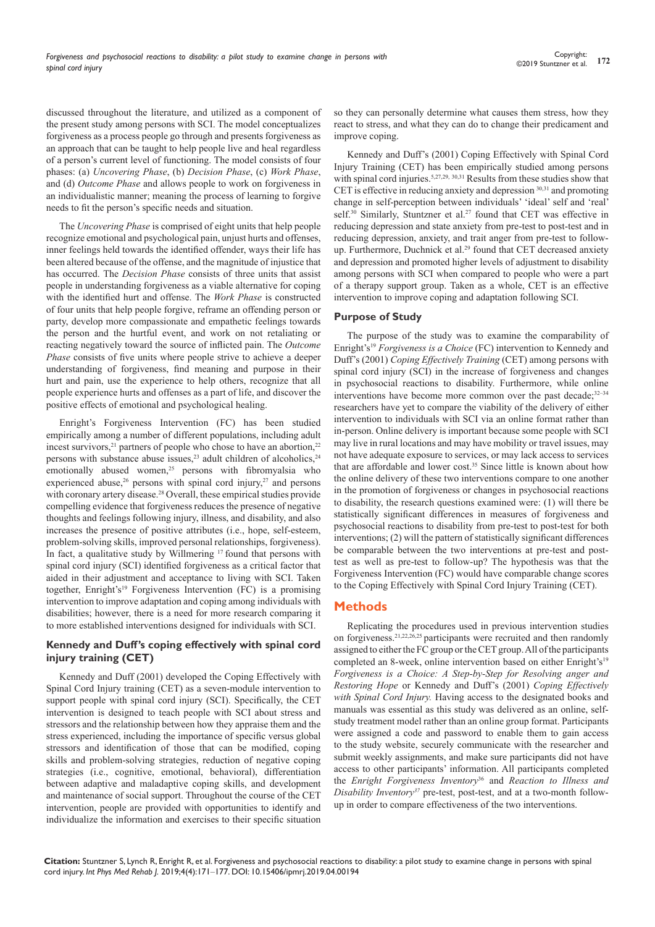discussed throughout the literature, and utilized as a component of the present study among persons with SCI. The model conceptualizes forgiveness as a process people go through and presents forgiveness as an approach that can be taught to help people live and heal regardless of a person's current level of functioning. The model consists of four phases: (a) *Uncovering Phase*, (b) *Decision Phase*, (c) *Work Phase*, and (d) *Outcome Phase* and allows people to work on forgiveness in an individualistic manner; meaning the process of learning to forgive needs to fit the person's specific needs and situation.

The *Uncovering Phase* is comprised of eight units that help people recognize emotional and psychological pain, unjust hurts and offenses, inner feelings held towards the identified offender, ways their life has been altered because of the offense, and the magnitude of injustice that has occurred. The *Decision Phase* consists of three units that assist people in understanding forgiveness as a viable alternative for coping with the identified hurt and offense. The *Work Phase* is constructed of four units that help people forgive, reframe an offending person or party, develop more compassionate and empathetic feelings towards the person and the hurtful event, and work on not retaliating or reacting negatively toward the source of inflicted pain. The *Outcome Phase* consists of five units where people strive to achieve a deeper understanding of forgiveness, find meaning and purpose in their hurt and pain, use the experience to help others, recognize that all people experience hurts and offenses as a part of life, and discover the positive effects of emotional and psychological healing.

Enright's Forgiveness Intervention (FC) has been studied empirically among a number of different populations, including adult incest survivors, $21$  partners of people who chose to have an abortion, $22$ persons with substance abuse issues,<sup>23</sup> adult children of alcoholics,<sup>24</sup> emotionally abused women,<sup>25</sup> persons with fibromyalsia who experienced abuse, $26$  persons with spinal cord injury, $27$  and persons with coronary artery disease.<sup>28</sup> Overall, these empirical studies provide compelling evidence that forgiveness reduces the presence of negative thoughts and feelings following injury, illness, and disability, and also increases the presence of positive attributes (i.e., hope, self-esteem, problem-solving skills, improved personal relationships, forgiveness). In fact, a qualitative study by Willmering <sup>17</sup> found that persons with spinal cord injury (SCI) identified forgiveness as a critical factor that aided in their adjustment and acceptance to living with SCI. Taken together, Enright's<sup>19</sup> Forgiveness Intervention (FC) is a promising intervention to improve adaptation and coping among individuals with disabilities; however, there is a need for more research comparing it to more established interventions designed for individuals with SCI.

## **Kennedy and Duff's coping effectively with spinal cord injury training (CET)**

Kennedy and Duff (2001) developed the Coping Effectively with Spinal Cord Injury training (CET) as a seven-module intervention to support people with spinal cord injury (SCI). Specifically, the CET intervention is designed to teach people with SCI about stress and stressors and the relationship between how they appraise them and the stress experienced, including the importance of specific versus global stressors and identification of those that can be modified, coping skills and problem-solving strategies, reduction of negative coping strategies (i.e., cognitive, emotional, behavioral), differentiation between adaptive and maladaptive coping skills, and development and maintenance of social support. Throughout the course of the CET intervention, people are provided with opportunities to identify and individualize the information and exercises to their specific situation

so they can personally determine what causes them stress, how they react to stress, and what they can do to change their predicament and improve coping.

Kennedy and Duff's (2001) Coping Effectively with Spinal Cord Injury Training (CET) has been empirically studied among persons with spinal cord injuries.<sup>5,27,29, 30,31</sup> Results from these studies show that CET is effective in reducing anxiety and depression 30,31 and promoting change in self-perception between individuals' 'ideal' self and 'real' self.<sup>30</sup> Similarly, Stuntzner et al.<sup>27</sup> found that CET was effective in reducing depression and state anxiety from pre-test to post-test and in reducing depression, anxiety, and trait anger from pre-test to followup. Furthermore, Duchnick et al.<sup>29</sup> found that CET decreased anxiety and depression and promoted higher levels of adjustment to disability among persons with SCI when compared to people who were a part of a therapy support group. Taken as a whole, CET is an effective intervention to improve coping and adaptation following SCI.

## **Purpose of Study**

The purpose of the study was to examine the comparability of Enright's19 *Forgiveness is a Choice* (FC) intervention to Kennedy and Duff's (2001) *Coping Effectively Training* (CET) among persons with spinal cord injury (SCI) in the increase of forgiveness and changes in psychosocial reactions to disability. Furthermore, while online interventions have become more common over the past decade;<sup>32-34</sup> researchers have yet to compare the viability of the delivery of either intervention to individuals with SCI via an online format rather than in-person. Online delivery is important because some people with SCI may live in rural locations and may have mobility or travel issues, may not have adequate exposure to services, or may lack access to services that are affordable and lower cost.<sup>35</sup> Since little is known about how the online delivery of these two interventions compare to one another in the promotion of forgiveness or changes in psychosocial reactions to disability, the research questions examined were: (1) will there be statistically significant differences in measures of forgiveness and psychosocial reactions to disability from pre-test to post-test for both interventions; (2) will the pattern of statistically significant differences be comparable between the two interventions at pre-test and posttest as well as pre-test to follow-up? The hypothesis was that the Forgiveness Intervention (FC) would have comparable change scores to the Coping Effectively with Spinal Cord Injury Training (CET).

# **Methods**

Replicating the procedures used in previous intervention studies on forgiveness.21,22,26,25 participants were recruited and then randomly assigned to either the FC group or the CET group. All of the participants completed an 8-week, online intervention based on either Enright's<sup>19</sup> *Forgiveness is a Choice: A Step-by-Step for Resolving anger and Restoring Hope* or Kennedy and Duff's (2001) *Coping Effectively with Spinal Cord Injury.* Having access to the designated books and manuals was essential as this study was delivered as an online, selfstudy treatment model rather than an online group format. Participants were assigned a code and password to enable them to gain access to the study website, securely communicate with the researcher and submit weekly assignments, and make sure participants did not have access to other participants' information. All participants completed the *Enright Forgiveness Inventory*36 and *Reaction to Illness and Disability Inventory37* pre-test, post-test, and at a two-month followup in order to compare effectiveness of the two interventions.

**Citation:** Stuntzner S, Lynch R, Enright R, et al. Forgiveness and psychosocial reactions to disability: a pilot study to examine change in persons with spinal cord injury. *Int Phys Med Rehab J.* 2019;4(4):171‒177. DOI: [10.15406/ipmrj.2019.04.00194](https://doi.org/10.15406/ipmrj.2019.04.00194
)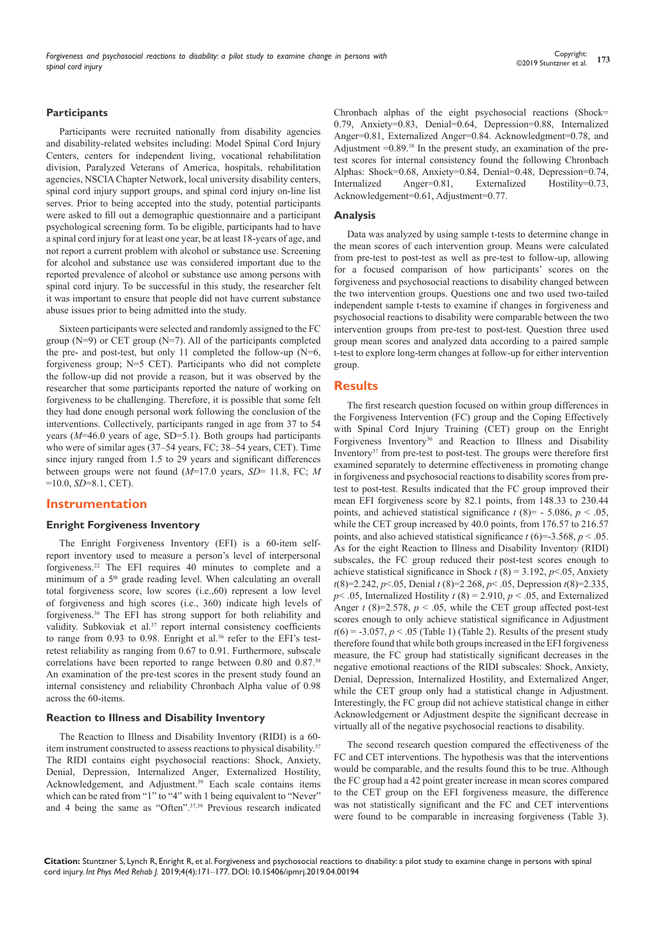## **Participants**

Participants were recruited nationally from disability agencies and disability-related websites including: Model Spinal Cord Injury Centers, centers for independent living, vocational rehabilitation division, Paralyzed Veterans of America, hospitals, rehabilitation agencies, NSCIA Chapter Network, local university disability centers, spinal cord injury support groups, and spinal cord injury on-line list serves. Prior to being accepted into the study, potential participants were asked to fill out a demographic questionnaire and a participant psychological screening form. To be eligible, participants had to have a spinal cord injury for at least one year, be at least 18-years of age, and not report a current problem with alcohol or substance use. Screening for alcohol and substance use was considered important due to the reported prevalence of alcohol or substance use among persons with spinal cord injury. To be successful in this study, the researcher felt it was important to ensure that people did not have current substance abuse issues prior to being admitted into the study.

Sixteen participants were selected and randomly assigned to the FC group (N=9) or CET group (N=7). All of the participants completed the pre- and post-test, but only 11 completed the follow-up  $(N=6, 1)$ forgiveness group; N=5 CET). Participants who did not complete the follow-up did not provide a reason, but it was observed by the researcher that some participants reported the nature of working on forgiveness to be challenging. Therefore, it is possible that some felt they had done enough personal work following the conclusion of the interventions. Collectively, participants ranged in age from 37 to 54 years (*M*=46.0 years of age, SD=5.1). Both groups had participants who were of similar ages (37–54 years, FC; 38–54 years, CET). Time since injury ranged from 1.5 to 29 years and significant differences between groups were not found (*M*=17.0 years, *SD*= 11.8, FC; *M*  =10.0, *SD*=8.1, CET).

## **Instrumentation**

#### **Enright Forgiveness Inventory**

The Enright Forgiveness Inventory (EFI) is a 60-item selfreport inventory used to measure a person's level of interpersonal forgiveness.22 The EFI requires 40 minutes to complete and a minimum of a 5<sup>th</sup> grade reading level. When calculating an overall total forgiveness score, low scores (i.e.,60) represent a low level of forgiveness and high scores (i.e., 360) indicate high levels of forgiveness.36 The EFI has strong support for both reliability and validity. Subkoviak et al.<sup>37</sup> report internal consistency coefficients to range from 0.93 to 0.98. Enright et al.<sup>36</sup> refer to the EFI's testretest reliability as ranging from 0.67 to 0.91. Furthermore, subscale correlations have been reported to range between 0.80 and 0.87.38 An examination of the pre-test scores in the present study found an internal consistency and reliability Chronbach Alpha value of 0.98 across the 60-items.

#### **Reaction to Illness and Disability Inventory**

The Reaction to Illness and Disability Inventory (RIDI) is a 60 item instrument constructed to assess reactions to physical disability.37 The RIDI contains eight psychosocial reactions: Shock, Anxiety, Denial, Depression, Internalized Anger, Externalized Hostility, Acknowledgement, and Adjustment.<sup>39</sup> Each scale contains items which can be rated from "1" to "4" with 1 being equivalent to "Never" and 4 being the same as "Often".37,39 Previous research indicated Chronbach alphas of the eight psychosocial reactions (Shock= 0.79, Anxiety=0.83, Denial=0.64, Depression=0.88, Internalized Anger=0.81, Externalized Anger=0.84. Acknowledgment=0.78, and Adjustment  $=0.89$ .<sup>38</sup> In the present study, an examination of the pretest scores for internal consistency found the following Chronbach Alphas: Shock=0.68, Anxiety=0.84, Denial=0.48, Depression=0.74, Internalized Anger=0.81, Externalized Hostility=0.73, Acknowledgement=0.61, Adjustment=0.77.

#### **Analysis**

Data was analyzed by using sample t-tests to determine change in the mean scores of each intervention group. Means were calculated from pre-test to post-test as well as pre-test to follow-up, allowing for a focused comparison of how participants' scores on the forgiveness and psychosocial reactions to disability changed between the two intervention groups. Questions one and two used two-tailed independent sample t-tests to examine if changes in forgiveness and psychosocial reactions to disability were comparable between the two intervention groups from pre-test to post-test. Question three used group mean scores and analyzed data according to a paired sample t-test to explore long-term changes at follow-up for either intervention group.

## **Results**

The first research question focused on within group differences in the Forgiveness Intervention (FC) group and the Coping Effectively with Spinal Cord Injury Training (CET) group on the Enright Forgiveness Inventory<sup>36</sup> and Reaction to Illness and Disability Inventory37 from pre-test to post-test. The groups were therefore first examined separately to determine effectiveness in promoting change in forgiveness and psychosocial reactions to disability scores from pretest to post-test. Results indicated that the FC group improved their mean EFI forgiveness score by 82.1 points, from 148.33 to 230.44 points, and achieved statistical significance  $t$  (8)= - 5.086,  $p$  < .05, while the CET group increased by 40.0 points, from 176.57 to 216.57 points, and also achieved statistical significance  $t$  (6)=-3.568,  $p$  < .05. As for the eight Reaction to Illness and Disability Inventor*y* (RIDI) subscales, the FC group reduced their post-test scores enough to achieve statistical significance in Shock  $t(8) = 3.192$ ,  $p \le 0.05$ , Anxiety *t*(8)=2.242, *p*<.05, Denial *t* (8)=2.268, *p*< .05, Depression *t*(8)=2.335,  $p$ < .05, Internalized Hostility  $t(8) = 2.910$ ,  $p < .05$ , and Externalized Anger  $t$  (8)=2.578,  $p < .05$ , while the CET group affected post-test scores enough to only achieve statistical significance in Adjustment  $t(6) = -3.057$ ,  $p < .05$  (Table 1) (Table 2). Results of the present study therefore found that while both groups increased in the EFI forgiveness measure, the FC group had statistically significant decreases in the negative emotional reactions of the RIDI subscales: Shock, Anxiety, Denial, Depression, Internalized Hostility, and Externalized Anger, while the CET group only had a statistical change in Adjustment. Interestingly, the FC group did not achieve statistical change in either Acknowledgement or Adjustment despite the significant decrease in virtually all of the negative psychosocial reactions to disability.

The second research question compared the effectiveness of the FC and CET interventions. The hypothesis was that the interventions would be comparable, and the results found this to be true. Although the FC group had a 42 point greater increase in mean scores compared to the CET group on the EFI forgiveness measure, the difference was not statistically significant and the FC and CET interventions were found to be comparable in increasing forgiveness (Table 3).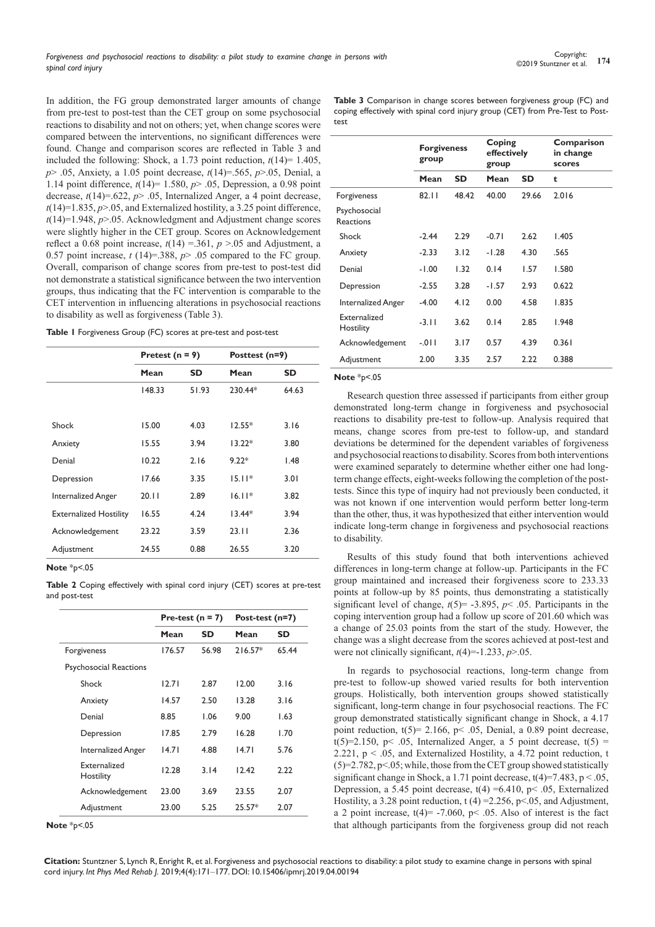In addition, the FG group demonstrated larger amounts of change from pre-test to post-test than the CET group on some psychosocial reactions to disability and not on others; yet, when change scores were compared between the interventions, no significant differences were found. Change and comparison scores are reflected in Table 3 and included the following: Shock, a 1.73 point reduction,  $t(14)=1.405$ , *p*> .05, Anxiety, a 1.05 point decrease, *t*(14)=.565, *p*>.05, Denial, a 1.14 point difference, *t*(14)= 1.580, *p*> .05, Depression, a 0.98 point decrease, *t*(14)=.622, *p*> .05, Internalized Anger, a 4 point decrease,  $t(14)=1.835, p>0.05$ , and Externalized hostility, a 3.25 point difference, *t*(14)=1.948, *p*>.05. Acknowledgment and Adjustment change scores were slightly higher in the CET group. Scores on Acknowledgement reflect a 0.68 point increase,  $t(14) = 361$ ,  $p > 05$  and Adjustment, a 0.57 point increase,  $t(14)=388$ ,  $p$  > .05 compared to the FC group. Overall, comparison of change scores from pre-test to post-test did not demonstrate a statistical significance between the two intervention groups, thus indicating that the FC intervention is comparable to the CET intervention in influencing alterations in psychosocial reactions to disability as well as forgiveness (Table 3).

|  |  |  | Table I Forgiveness Group (FC) scores at pre-test and post-test |  |
|--|--|--|-----------------------------------------------------------------|--|
|--|--|--|-----------------------------------------------------------------|--|

|                               | Pretest $(n = 9)$ |           | Posttest (n=9) |       |
|-------------------------------|-------------------|-----------|----------------|-------|
|                               | Mean              | <b>SD</b> | Mean           | SD    |
|                               | 148.33            | 51.93     | $230.44*$      | 64.63 |
|                               |                   |           |                |       |
| Shock                         | 15.00             | 4.03      | $12.55*$       | 3.16  |
| Anxiety                       | 15.55             | 3.94      | $13.22*$       | 3.80  |
| Denial                        | 10.22             | 2.16      | $9.22*$        | 1.48  |
| Depression                    | 17.66             | 3.35      | $15.11*$       | 3.01  |
| Internalized Anger            | 20.11             | 2.89      | $16.11*$       | 3.82  |
| <b>Externalized Hostility</b> | 16.55             | 4.24      | $13.44*$       | 3.94  |
| Acknowledgement               | 23.22             | 3.59      | 23.11          | 2.36  |
| Adjustment                    | 24.55             | 0.88      | 26.55          | 3.20  |

**Note** \*p<.05

**Table 2** Coping effectively with spinal cord injury (CET) scores at pre-test and post-test

|                                  | Pre-test ( $n = 7$ ) |           | Post-test (n=7) |       |
|----------------------------------|----------------------|-----------|-----------------|-------|
|                                  | Mean                 | <b>SD</b> | Mean            | SD    |
| Forgiveness                      | 176.57               | 56.98     | $216.57*$       | 65.44 |
| <b>Psychosocial Reactions</b>    |                      |           |                 |       |
| Shock                            | 12.71                | 2.87      | 12.00           | 3.16  |
| Anxiety                          | 14.57                | 2.50      | 13.28           | 3.16  |
| Denial                           | 8.85                 | 1.06      | 9.00            | 1.63  |
| Depression                       | 17.85                | 2.79      | 16.28           | 1.70  |
| Internalized Anger               | 14.71                | 4.88      | 14.71           | 5.76  |
| <b>Fxternalized</b><br>Hostility | 12.28                | 3.14      | 12.42           | 2.22  |
| Acknowledgement                  | 23.00                | 3.69      | 23.55           | 2.07  |
| Adjustment                       | 23.00                | 5.25      | $25.57*$        | 2.07  |

**Note** \*p<.05

**Table 3** Comparison in change scores between forgiveness group (FC) and coping effectively with spinal cord injury group (CET) from Pre-Test to Posttest

|                                  | <b>Forgiveness</b><br>group |           | Coping<br>effectively<br>group |           | Comparison<br>in change<br>scores |
|----------------------------------|-----------------------------|-----------|--------------------------------|-----------|-----------------------------------|
|                                  | Mean                        | <b>SD</b> | Mean                           | <b>SD</b> | t                                 |
| Forgiveness                      | 82.11                       | 48.42     | 40.00                          | 29.66     | 2.016                             |
| Psychosocial<br><b>Reactions</b> |                             |           |                                |           |                                   |
| Shock                            | $-2.44$                     | 2.29      | $-0.71$                        | 2.62      | 1.405                             |
| Anxiety                          | $-2.33$                     | 3.12      | $-1.28$                        | 4.30      | .565                              |
| Denial                           | $-1.00$                     | 1.32      | 0.14                           | 1.57      | 1.580                             |
| Depression                       | $-2.55$                     | 3.28      | $-1.57$                        | 2.93      | 0.622                             |
| <b>Internalized Anger</b>        | $-4.00$                     | 4.12      | 0.00                           | 4.58      | 1.835                             |
| Externalized<br>Hostility        | $-3.11$                     | 3.62      | 0.14                           | 2.85      | 1.948                             |
| Acknowledgement                  | $-011$                      | 3.17      | 0.57                           | 4.39      | 0.361                             |
| Adjustment                       | 2.00                        | 3.35      | 2.57                           | 2.22      | 0.388                             |

#### **Note** \*p<.05

Research question three assessed if participants from either group demonstrated long-term change in forgiveness and psychosocial reactions to disability pre-test to follow-up. Analysis required that means, change scores from pre-test to follow-up, and standard deviations be determined for the dependent variables of forgiveness and psychosocial reactions to disability. Scores from both interventions were examined separately to determine whether either one had longterm change effects, eight-weeks following the completion of the posttests. Since this type of inquiry had not previously been conducted, it was not known if one intervention would perform better long-term than the other, thus, it was hypothesized that either intervention would indicate long-term change in forgiveness and psychosocial reactions to disability.

Results of this study found that both interventions achieved differences in long-term change at follow-up. Participants in the FC group maintained and increased their forgiveness score to 233.33 points at follow-up by 85 points, thus demonstrating a statistically significant level of change,  $t(5)$ = -3.895,  $p$ < .05. Participants in the coping intervention group had a follow up score of 201.60 which was a change of 25.03 points from the start of the study. However, the change was a slight decrease from the scores achieved at post-test and were not clinically significant,  $t(4)$ =-1.233,  $p$ >.05.

In regards to psychosocial reactions, long-term change from pre-test to follow-up showed varied results for both intervention groups. Holistically, both intervention groups showed statistically significant, long-term change in four psychosocial reactions. The FC group demonstrated statistically significant change in Shock, a 4.17 point reduction,  $t(5) = 2.166$ ,  $p < .05$ , Denial, a 0.89 point decrease, t(5)=2.150, p< .05, Internalized Anger, a 5 point decrease,  $t(5)$  = 2.221,  $p < 0.05$ , and Externalized Hostility, a 4.72 point reduction, t  $(5)=2.782$ ,  $p<.05$ ; while, those from the CET group showed statistically significant change in Shock, a 1.71 point decrease,  $t(4)=7.483$ ,  $p < .05$ , Depression, a 5.45 point decrease,  $t(4) = 6.410$ ,  $p < .05$ , Externalized Hostility, a 3.28 point reduction,  $t$  (4) = 2.256, p < 05, and Adjustment, a 2 point increase,  $t(4) = -7.060$ ,  $p < .05$ . Also of interest is the fact that although participants from the forgiveness group did not reach

**Citation:** Stuntzner S, Lynch R, Enright R, et al. Forgiveness and psychosocial reactions to disability: a pilot study to examine change in persons with spinal cord injury. *Int Phys Med Rehab J.* 2019;4(4):171‒177. DOI: [10.15406/ipmrj.2019.04.00194](https://doi.org/10.15406/ipmrj.2019.04.00194
)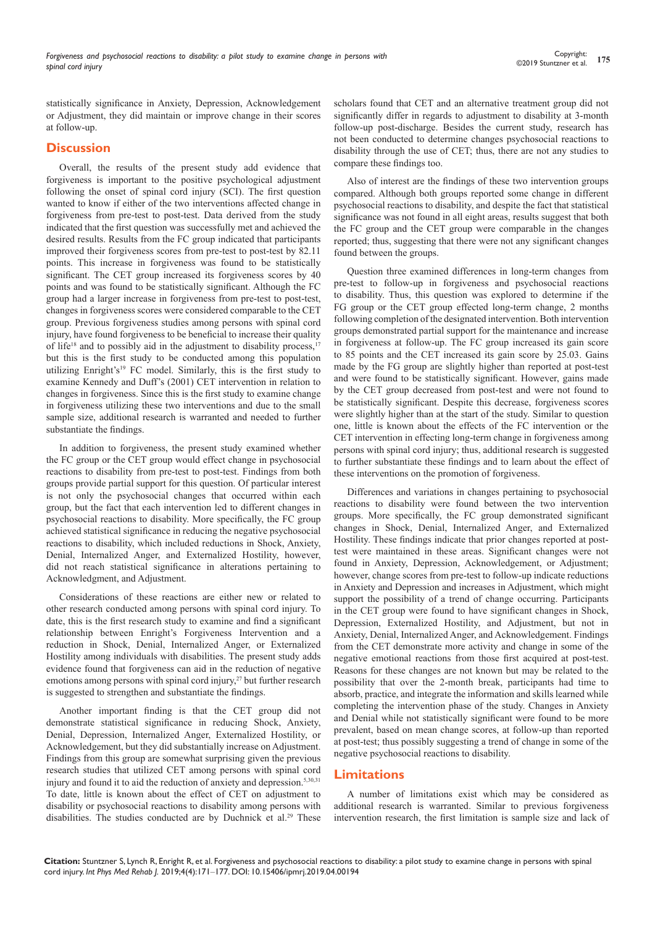statistically significance in Anxiety, Depression, Acknowledgement or Adjustment, they did maintain or improve change in their scores at follow-up.

## **Discussion**

Overall, the results of the present study add evidence that forgiveness is important to the positive psychological adjustment following the onset of spinal cord injury (SCI). The first question wanted to know if either of the two interventions affected change in forgiveness from pre-test to post-test. Data derived from the study indicated that the first question was successfully met and achieved the desired results. Results from the FC group indicated that participants improved their forgiveness scores from pre-test to post-test by 82.11 points. This increase in forgiveness was found to be statistically significant. The CET group increased its forgiveness scores by 40 points and was found to be statistically significant. Although the FC group had a larger increase in forgiveness from pre-test to post-test, changes in forgiveness scores were considered comparable to the CET group. Previous forgiveness studies among persons with spinal cord injury, have found forgiveness to be beneficial to increase their quality of life<sup>18</sup> and to possibly aid in the adjustment to disability process.<sup>17</sup> but this is the first study to be conducted among this population utilizing Enright's19 FC model. Similarly, this is the first study to examine Kennedy and Duff's (2001) CET intervention in relation to changes in forgiveness. Since this is the first study to examine change in forgiveness utilizing these two interventions and due to the small sample size, additional research is warranted and needed to further substantiate the findings.

In addition to forgiveness, the present study examined whether the FC group or the CET group would effect change in psychosocial reactions to disability from pre-test to post-test. Findings from both groups provide partial support for this question. Of particular interest is not only the psychosocial changes that occurred within each group, but the fact that each intervention led to different changes in psychosocial reactions to disability. More specifically, the FC group achieved statistical significance in reducing the negative psychosocial reactions to disability, which included reductions in Shock, Anxiety, Denial, Internalized Anger, and Externalized Hostility, however, did not reach statistical significance in alterations pertaining to Acknowledgment, and Adjustment.

Considerations of these reactions are either new or related to other research conducted among persons with spinal cord injury. To date, this is the first research study to examine and find a significant relationship between Enright's Forgiveness Intervention and a reduction in Shock, Denial, Internalized Anger, or Externalized Hostility among individuals with disabilities. The present study adds evidence found that forgiveness can aid in the reduction of negative emotions among persons with spinal cord injury,<sup>27</sup> but further research is suggested to strengthen and substantiate the findings.

Another important finding is that the CET group did not demonstrate statistical significance in reducing Shock, Anxiety, Denial, Depression, Internalized Anger, Externalized Hostility, or Acknowledgement, but they did substantially increase on Adjustment. Findings from this group are somewhat surprising given the previous research studies that utilized CET among persons with spinal cord injury and found it to aid the reduction of anxiety and depression.<sup>5,30,31</sup> To date, little is known about the effect of CET on adjustment to disability or psychosocial reactions to disability among persons with disabilities. The studies conducted are by Duchnick et al.<sup>29</sup> These

scholars found that CET and an alternative treatment group did not significantly differ in regards to adjustment to disability at 3-month follow-up post-discharge. Besides the current study, research has not been conducted to determine changes psychosocial reactions to disability through the use of CET; thus, there are not any studies to compare these findings too.

Also of interest are the findings of these two intervention groups compared. Although both groups reported some change in different psychosocial reactions to disability, and despite the fact that statistical significance was not found in all eight areas, results suggest that both the FC group and the CET group were comparable in the changes reported; thus, suggesting that there were not any significant changes found between the groups.

Question three examined differences in long-term changes from pre-test to follow-up in forgiveness and psychosocial reactions to disability. Thus, this question was explored to determine if the FG group or the CET group effected long-term change, 2 months following completion of the designated intervention. Both intervention groups demonstrated partial support for the maintenance and increase in forgiveness at follow-up. The FC group increased its gain score to 85 points and the CET increased its gain score by 25.03. Gains made by the FG group are slightly higher than reported at post-test and were found to be statistically significant. However, gains made by the CET group decreased from post-test and were not found to be statistically significant. Despite this decrease, forgiveness scores were slightly higher than at the start of the study. Similar to question one, little is known about the effects of the FC intervention or the CET intervention in effecting long-term change in forgiveness among persons with spinal cord injury; thus, additional research is suggested to further substantiate these findings and to learn about the effect of these interventions on the promotion of forgiveness.

Differences and variations in changes pertaining to psychosocial reactions to disability were found between the two intervention groups. More specifically, the FC group demonstrated significant changes in Shock, Denial, Internalized Anger, and Externalized Hostility. These findings indicate that prior changes reported at posttest were maintained in these areas. Significant changes were not found in Anxiety, Depression, Acknowledgement, or Adjustment; however, change scores from pre-test to follow-up indicate reductions in Anxiety and Depression and increases in Adjustment, which might support the possibility of a trend of change occurring. Participants in the CET group were found to have significant changes in Shock, Depression, Externalized Hostility, and Adjustment, but not in Anxiety, Denial, Internalized Anger, and Acknowledgement. Findings from the CET demonstrate more activity and change in some of the negative emotional reactions from those first acquired at post-test. Reasons for these changes are not known but may be related to the possibility that over the 2-month break, participants had time to absorb, practice, and integrate the information and skills learned while completing the intervention phase of the study. Changes in Anxiety and Denial while not statistically significant were found to be more prevalent, based on mean change scores, at follow-up than reported at post-test; thus possibly suggesting a trend of change in some of the negative psychosocial reactions to disability.

# **Limitations**

A number of limitations exist which may be considered as additional research is warranted. Similar to previous forgiveness intervention research, the first limitation is sample size and lack of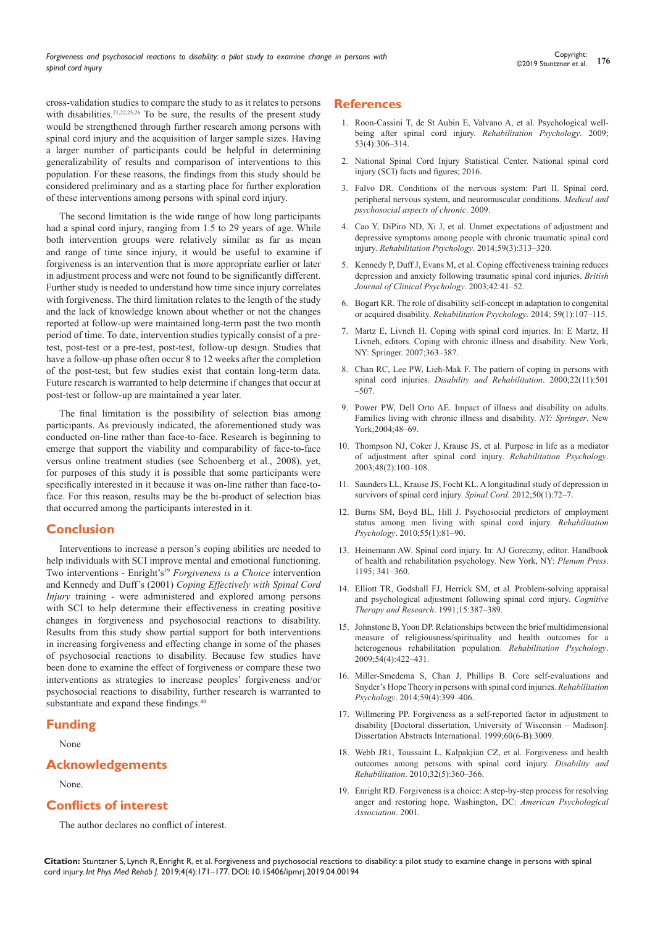cross-validation studies to compare the study to as it relates to persons with disabilities.<sup>21,22,25,26</sup> To be sure, the results of the present study would be strengthened through further research among persons with spinal cord injury and the acquisition of larger sample sizes. Having a larger number of participants could be helpful in determining generalizability of results and comparison of interventions to this population. For these reasons, the findings from this study should be considered preliminary and as a starting place for further exploration of these interventions among persons with spinal cord injury.

The second limitation is the wide range of how long participants had a spinal cord injury, ranging from 1.5 to 29 years of age. While both intervention groups were relatively similar as far as mean and range of time since injury, it would be useful to examine if forgiveness is an intervention that is more appropriate earlier or later in adjustment process and were not found to be significantly different. Further study is needed to understand how time since injury correlates with forgiveness. The third limitation relates to the length of the study and the lack of knowledge known about whether or not the changes reported at follow-up were maintained long-term past the two month period of time. To date, intervention studies typically consist of a pretest, post-test or a pre-test, post-test, follow-up design. Studies that have a follow-up phase often occur 8 to 12 weeks after the completion of the post-test, but few studies exist that contain long-term data. Future research is warranted to help determine if changes that occur at post-test or follow-up are maintained a year later.

The final limitation is the possibility of selection bias among participants. As previously indicated, the aforementioned study was conducted on-line rather than face-to-face. Research is beginning to emerge that support the viability and comparability of face-to-face versus online treatment studies (see Schoenberg et al., 2008), yet, for purposes of this study it is possible that some participants were specifically interested in it because it was on-line rather than face-toface. For this reason, results may be the bi-product of selection bias that occurred among the participants interested in it.

## **Conclusion**

Interventions to increase a person's coping abilities are needed to help individuals with SCI improve mental and emotional functioning. Two interventions - Enright's<sup>19</sup> *Forgiveness is a Choice* intervention and Kennedy and Duff's (2001) *Coping Effectively with Spinal Cord Injury* training - were administered and explored among persons with SCI to help determine their effectiveness in creating positive changes in forgiveness and psychosocial reactions to disability. Results from this study show partial support for both interventions in increasing forgiveness and effecting change in some of the phases of psychosocial reactions to disability. Because few studies have been done to examine the effect of forgiveness or compare these two interventions as strategies to increase peoples' forgiveness and/or psychosocial reactions to disability, further research is warranted to substantiate and expand these findings.<sup>40</sup>

# **Funding**

None

# **Acknowledgements**

#### None.

# **Conflicts of interest**

The author declares no conflict of interest.

# **References**

- 1. [Roon-Cassini T, de St Aubin E, Valvano A, et al. Psychological well](https://www.ncbi.nlm.nih.gov/pubmed/19702429)[being after spinal cord injury.](https://www.ncbi.nlm.nih.gov/pubmed/19702429) *Rehabilitation Psychology*. 2009; [53\(4\):306–314.](https://www.ncbi.nlm.nih.gov/pubmed/19702429)
- 2. [National Spinal Cord Injury Statistical Center. National spinal cord](http://www.nscisc.uab.edu/Public/Facts%202016.pdf)  [injury \(SCI\) facts and figures; 2016](http://www.nscisc.uab.edu/Public/Facts%202016.pdf).
- 3. Falvo DR. Conditions of the nervous system: Part II. Spinal cord, peripheral nervous system, and neuromuscular conditions. *Medical and psychosocial aspects of chronic*. 2009.
- 4. [Cao Y, DiPiro ND, Xi J, et al. Unmet expectations of adjustment and](https://www.ncbi.nlm.nih.gov/pubmed/25019305)  [depressive symptoms among people with chronic traumatic spinal cord](https://www.ncbi.nlm.nih.gov/pubmed/25019305)  injury. *[Rehabilitation Psychology](https://www.ncbi.nlm.nih.gov/pubmed/25019305)*. 2014;59(3):313–320.
- 5. [Kennedy P, Duff J, Evans M, et al. Coping effectiveness training reduces](https://www.ncbi.nlm.nih.gov/pubmed/12675978)  [depression and anxiety following traumatic spinal cord injuries.](https://www.ncbi.nlm.nih.gov/pubmed/12675978) *British [Journal of Clinical Psychology](https://www.ncbi.nlm.nih.gov/pubmed/12675978)*. 2003;42:41–52.
- 6. [Bogart KR. The role of disability self-concept in adaptation to congenital](https://www.ncbi.nlm.nih.gov/pubmed/24611927)  or acquired disability. *[Rehabilitation Psychology](https://www.ncbi.nlm.nih.gov/pubmed/24611927)*. 2014; 59(1):107–115.
- 7. [Martz E, Livneh H. Coping with spinal cord injuries. In: E Martz, H](https://link.springer.com/chapter/10.1007%2F978-0-387-48670-3_17)  [Livneh, editors. Coping with chronic illness and disability. New York,](https://link.springer.com/chapter/10.1007%2F978-0-387-48670-3_17)  [NY: Springer. 2007;363–387.](https://link.springer.com/chapter/10.1007%2F978-0-387-48670-3_17)
- 8. [Chan RC, Lee PW, Lieh-Mak F. The pattern of coping in persons with](https://www.ncbi.nlm.nih.gov/pubmed/10972354)  spinal cord injuries. *[Disability and Rehabilitation](https://www.ncbi.nlm.nih.gov/pubmed/10972354)*. 2000;22(11):501 [–507.](https://www.ncbi.nlm.nih.gov/pubmed/10972354)
- 9. [Power PW, Dell Orto AE. Impact of illness and disability on adults.](http://able.manavata.org/wp-content/uploads/2012/12/psychology-of-disability-the-springer-series-on-rehabilitation.pdf)  [Families living with chronic illness and disability.](http://able.manavata.org/wp-content/uploads/2012/12/psychology-of-disability-the-springer-series-on-rehabilitation.pdf) *NY: Springer*. New [York;2004;48–69.](http://able.manavata.org/wp-content/uploads/2012/12/psychology-of-disability-the-springer-series-on-rehabilitation.pdf)
- 10. [Thompson NJ, Coker J, Krause JS, et al. Purpose in life as a mediator](https://psycnet.apa.org/doiLanding?doi=10.1037/0090-5550.48.2.100)  [of adjustment after spinal cord injury.](https://psycnet.apa.org/doiLanding?doi=10.1037/0090-5550.48.2.100) *Rehabilitation Psychology*. [2003;48\(2\):100–108.](https://psycnet.apa.org/doiLanding?doi=10.1037/0090-5550.48.2.100)
- 11. [Saunders LL, Krause JS, Focht KL. A longitudinal study of depression in](https://www.ncbi.nlm.nih.gov/pubmed/21808257)  [survivors of spinal cord injury.](https://www.ncbi.nlm.nih.gov/pubmed/21808257) *Spinal Cord*. 2012;50(1):72–7.
- 12. [Burns SM, Boyd BL, Hill J. Psychosocial predictors of employment](https://www.ncbi.nlm.nih.gov/pubmed/20175638)  [status among men living with spinal cord injury.](https://www.ncbi.nlm.nih.gov/pubmed/20175638) *Rehabilitation Psychology*[. 2010;55\(1\):81–90.](https://www.ncbi.nlm.nih.gov/pubmed/20175638)
- 13. [Heinemann AW. Spinal cord injury. In: AJ Goreczny, editor. Handbook](http://global.oup.com/us/companion.websites/9780195395525/pdf/lezak_references.pdf)  [of health and rehabilitation psychology. New York, NY:](http://global.oup.com/us/companion.websites/9780195395525/pdf/lezak_references.pdf) *Plenum Press*. [1195; 341–360.](http://global.oup.com/us/companion.websites/9780195395525/pdf/lezak_references.pdf)
- 14. [Elliott TR, Godshall FJ, Herrick SM, et al. Problem-solving appraisal](https://link.springer.com/article/10.1007/BF01173033)  [and psychological adjustment following spinal cord injury.](https://link.springer.com/article/10.1007/BF01173033) *Cognitive [Therapy and Research](https://link.springer.com/article/10.1007/BF01173033)*. 1991;15:387–389.
- 15. [Johnstone B, Yoon DP. Relationships between the brief multidimensional](https://www.ncbi.nlm.nih.gov/pubmed/19929124)  [measure of religiousness/spirituality and health outcomes for a](https://www.ncbi.nlm.nih.gov/pubmed/19929124)  [heterogenous rehabilitation population.](https://www.ncbi.nlm.nih.gov/pubmed/19929124) *Rehabilitation Psychology*. [2009;54\(4\):422–431.](https://www.ncbi.nlm.nih.gov/pubmed/19929124)
- 16. [Miller-Smedema S, Chan J, Phillips B. Core self-evaluations and](https://www.ncbi.nlm.nih.gov/pubmed/25286172)  [Snyder's Hope Theory in persons with spinal cord injuries.](https://www.ncbi.nlm.nih.gov/pubmed/25286172) *Rehabilitation Psychology*[. 2014;59\(4\):399–406.](https://www.ncbi.nlm.nih.gov/pubmed/25286172)
- 17. [Willmering PP. Forgiveness as a self-reported factor in adjustment to](https://www.academia.edu/25167232/Living_with_a_Disability_A_Gateway_to_Practicing_Forgiveness_and_Compassion)  [disability \[Doctoral dissertation, University of Wisconsin – Madison\].](https://www.academia.edu/25167232/Living_with_a_Disability_A_Gateway_to_Practicing_Forgiveness_and_Compassion)  [Dissertation Abstracts International. 1999;60\(6-B\):3009.](https://www.academia.edu/25167232/Living_with_a_Disability_A_Gateway_to_Practicing_Forgiveness_and_Compassion)
- 18. [Webb JR1, Toussaint L, Kalpakjian CZ, et al. Forgiveness and health](https://www.ncbi.nlm.nih.gov/pubmed/20095952)  [outcomes among persons with spinal cord injury.](https://www.ncbi.nlm.nih.gov/pubmed/20095952) *Disability and Rehabilitation*[. 2010;32\(5\):360–366.](https://www.ncbi.nlm.nih.gov/pubmed/20095952)
- 19. [Enright RD. Forgiveness is a choice: A step-by-step process for resolving](https://www.apa.org/pubs/books/431657A)  [anger and restoring hope. Washington, DC:](https://www.apa.org/pubs/books/431657A) *American Psychological [Association](https://www.apa.org/pubs/books/431657A)*. 2001.

**Citation:** Stuntzner S, Lynch R, Enright R, et al. Forgiveness and psychosocial reactions to disability: a pilot study to examine change in persons with spinal cord injury. *Int Phys Med Rehab J.* 2019;4(4):171‒177. DOI: [10.15406/ipmrj.2019.04.00194](https://doi.org/10.15406/ipmrj.2019.04.00194
)